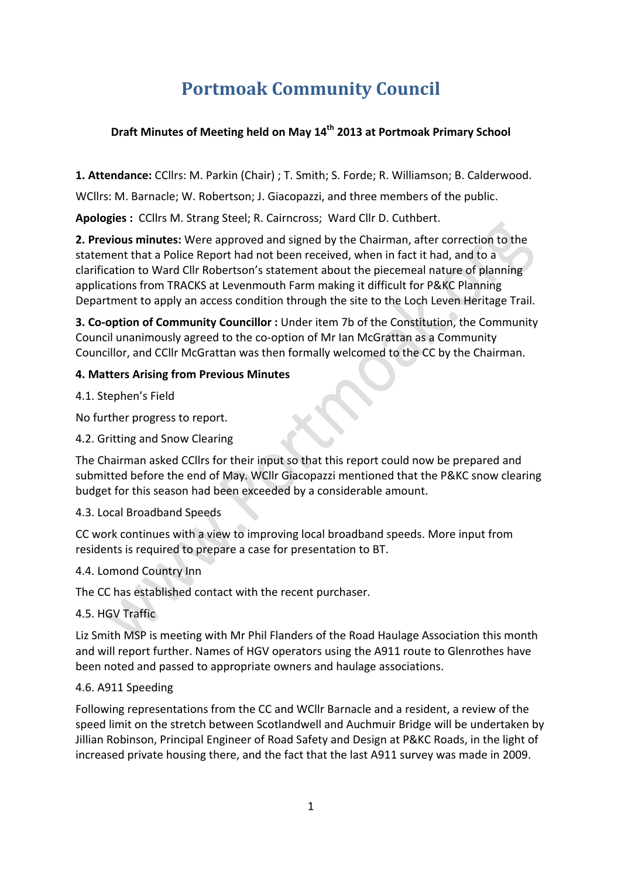# **Portmoak Community Council**

## **Draft Minutes of Meeting held on May 14<sup>th</sup> 2013 at Portmoak Primary School**

**1. Attendance:** CCllrs: M. Parkin (Chair) ; T. Smith; S. Forde; R. Williamson; B. Calderwood.

WCllrs: M. Barnacle; W. Robertson; J. Giacopazzi, and three members of the public.

Apologies : CCllrs M. Strang Steel; R. Cairncross; Ward Cllr D. Cuthbert.

**2. Previous minutes:** Were approved and signed by the Chairman, after correction to the statement that a Police Report had not been received, when in fact it had, and to a clarification to Ward Cllr Robertson's statement about the piecemeal nature of planning applications from TRACKS at Levenmouth Farm making it difficult for P&KC Planning Department to apply an access condition through the site to the Loch Leven Heritage Trail.

**3. Co-option of Community Councillor**: Under item 7b of the Constitution, the Community Council unanimously agreed to the co-option of Mr Ian McGrattan as a Community Councillor, and CCllr McGrattan was then formally welcomed to the CC by the Chairman.

## **4. Matters Arising from Previous Minutes**

4.1. Stephen's Field

No further progress to report.

## 4.2. Gritting and Snow Clearing

The Chairman asked CCllrs for their input so that this report could now be prepared and submitted before the end of May. WCllr Giacopazzi mentioned that the P&KC snow clearing budget for this season had been exceeded by a considerable amount.

## 4.3. Local Broadband Speeds

CC work continues with a view to improving local broadband speeds. More input from residents is required to prepare a case for presentation to BT.

## 4.4. Lomond Country Inn

The CC has established contact with the recent purchaser.

## 4.5. HGV Traffic

Liz Smith MSP is meeting with Mr Phil Flanders of the Road Haulage Association this month and will report further. Names of HGV operators using the A911 route to Glenrothes have been noted and passed to appropriate owners and haulage associations.

#### 4.6. A911 Speeding

Following representations from the CC and WCIIr Barnacle and a resident, a review of the speed limit on the stretch between Scotlandwell and Auchmuir Bridge will be undertaken by Jillian Robinson, Principal Engineer of Road Safety and Design at P&KC Roads, in the light of increased private housing there, and the fact that the last A911 survey was made in 2009.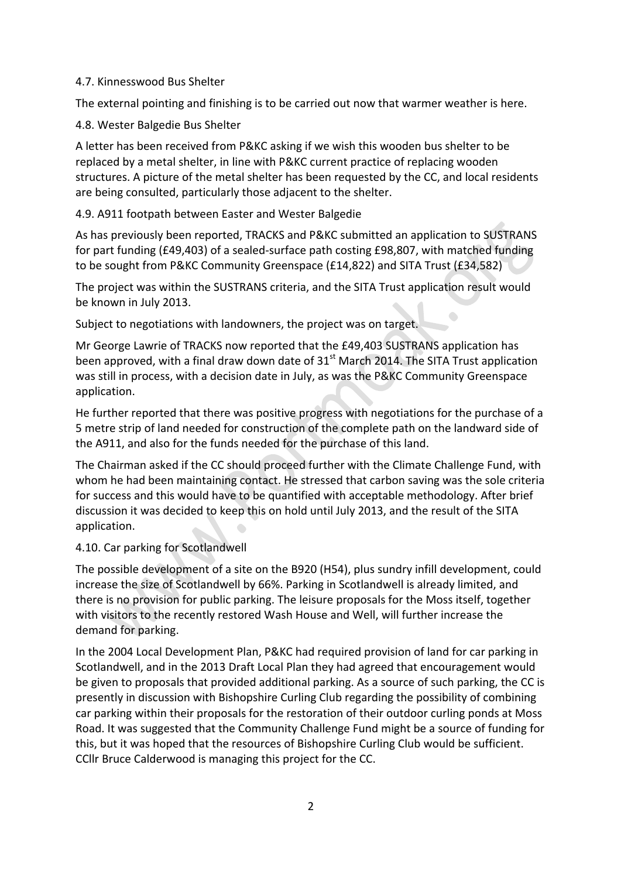#### 4.7. Kinnesswood Bus Shelter

The external pointing and finishing is to be carried out now that warmer weather is here.

4.8. Wester Balgedie Bus Shelter

A letter has been received from P&KC asking if we wish this wooden bus shelter to be replaced by a metal shelter, in line with P&KC current practice of replacing wooden structures. A picture of the metal shelter has been requested by the CC, and local residents are being consulted, particularly those adjacent to the shelter.

## 4.9. A911 footpath between Easter and Wester Balgedie

As has previously been reported, TRACKS and P&KC submitted an application to SUSTRANS for part funding (£49,403) of a sealed-surface path costing £98,807, with matched funding to be sought from P&KC Community Greenspace (£14,822) and SITA Trust (£34,582)

The project was within the SUSTRANS criteria, and the SITA Trust application result would be known in July 2013.

Subject to negotiations with landowners, the project was on target.

Mr George Lawrie of TRACKS now reported that the £49,403 SUSTRANS application has been approved, with a final draw down date of  $31<sup>st</sup>$  March 2014. The SITA Trust application was still in process, with a decision date in July, as was the P&KC Community Greenspace application.

He further reported that there was positive progress with negotiations for the purchase of a 5 metre strip of land needed for construction of the complete path on the landward side of the A911, and also for the funds needed for the purchase of this land.

The Chairman asked if the CC should proceed further with the Climate Challenge Fund, with whom he had been maintaining contact. He stressed that carbon saving was the sole criteria for success and this would have to be quantified with acceptable methodology. After brief discussion it was decided to keep this on hold until July 2013, and the result of the SITA application.

## 4.10. Car parking for Scotlandwell

The possible development of a site on the B920 (H54), plus sundry infill development, could increase the size of Scotlandwell by 66%. Parking in Scotlandwell is already limited, and there is no provision for public parking. The leisure proposals for the Moss itself, together with visitors to the recently restored Wash House and Well, will further increase the demand for parking.

In the 2004 Local Development Plan, P&KC had required provision of land for car parking in Scotlandwell, and in the 2013 Draft Local Plan they had agreed that encouragement would be given to proposals that provided additional parking. As a source of such parking, the CC is presently in discussion with Bishopshire Curling Club regarding the possibility of combining car parking within their proposals for the restoration of their outdoor curling ponds at Moss Road. It was suggested that the Community Challenge Fund might be a source of funding for this, but it was hoped that the resources of Bishopshire Curling Club would be sufficient. CCllr Bruce Calderwood is managing this project for the CC.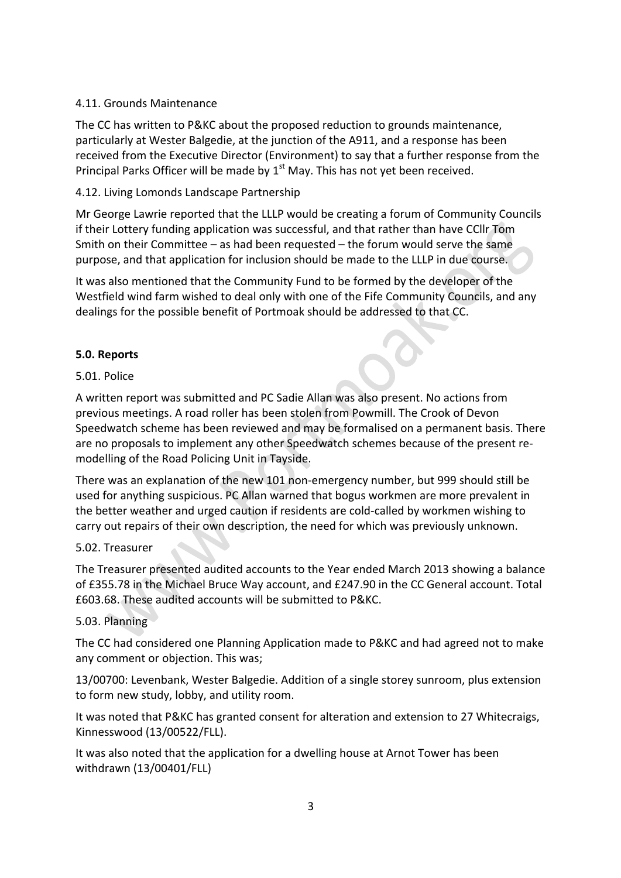#### 4.11. Grounds Maintenance

The CC has written to P&KC about the proposed reduction to grounds maintenance, particularly at Wester Balgedie, at the junction of the A911, and a response has been received from the Executive Director (Environment) to say that a further response from the Principal Parks Officer will be made by  $1<sup>st</sup>$  May. This has not yet been received.

#### 4.12. Living Lomonds Landscape Partnership

Mr George Lawrie reported that the LLLP would be creating a forum of Community Councils if their Lottery funding application was successful, and that rather than have CCIIr Tom Smith on their Committee  $-$  as had been requested  $-$  the forum would serve the same purpose, and that application for inclusion should be made to the LLLP in due course.

It was also mentioned that the Community Fund to be formed by the developer of the Westfield wind farm wished to deal only with one of the Fife Community Councils, and any dealings for the possible benefit of Portmoak should be addressed to that CC.

## **5.0. Reports**

#### 5.01. Police

A written report was submitted and PC Sadie Allan was also present. No actions from previous meetings. A road roller has been stolen from Powmill. The Crook of Devon Speedwatch scheme has been reviewed and may be formalised on a permanent basis. There are no proposals to implement any other Speedwatch schemes because of the present remodelling of the Road Policing Unit in Tayside.

There was an explanation of the new 101 non-emergency number, but 999 should still be used for anything suspicious. PC Allan warned that bogus workmen are more prevalent in the better weather and urged caution if residents are cold-called by workmen wishing to carry out repairs of their own description, the need for which was previously unknown.

#### 5.02. Treasurer

The Treasurer presented audited accounts to the Year ended March 2013 showing a balance of £355.78 in the Michael Bruce Way account, and £247.90 in the CC General account. Total £603.68. These audited accounts will be submitted to P&KC.

#### 5.03. Planning

The CC had considered one Planning Application made to P&KC and had agreed not to make any comment or objection. This was;

13/00700: Levenbank, Wester Balgedie. Addition of a single storey sunroom, plus extension to form new study, lobby, and utility room.

It was noted that P&KC has granted consent for alteration and extension to 27 Whitecraigs, Kinnesswood (13/00522/FLL).

It was also noted that the application for a dwelling house at Arnot Tower has been withdrawn (13/00401/FLL)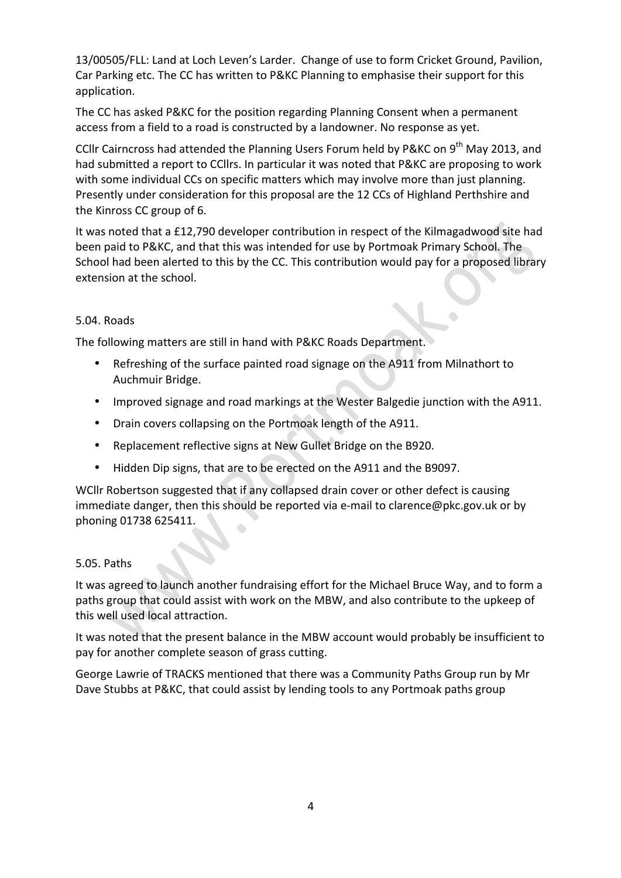13/00505/FLL: Land at Loch Leven's Larder. Change of use to form Cricket Ground, Pavilion, Car Parking etc. The CC has written to P&KC Planning to emphasise their support for this application.

The CC has asked P&KC for the position regarding Planning Consent when a permanent access from a field to a road is constructed by a landowner. No response as yet.

CCllr Cairncross had attended the Planning Users Forum held by P&KC on 9<sup>th</sup> May 2013, and had submitted a report to CCllrs. In particular it was noted that P&KC are proposing to work with some individual CCs on specific matters which may involve more than just planning. Presently under consideration for this proposal are the 12 CCs of Highland Perthshire and the Kinross CC group of 6.

It was noted that a £12,790 developer contribution in respect of the Kilmagadwood site had been paid to P&KC, and that this was intended for use by Portmoak Primary School. The School had been alerted to this by the CC. This contribution would pay for a proposed library extension at the school.

## 5.04. Roads

The following matters are still in hand with P&KC Roads Department.

- Refreshing of the surface painted road signage on the A911 from Milnathort to Auchmuir Bridge.
- Improved signage and road markings at the Wester Balgedie junction with the A911.
- Drain covers collapsing on the Portmoak length of the A911.
- Replacement reflective signs at New Gullet Bridge on the B920.
- Hidden Dip signs, that are to be erected on the A911 and the B9097.

WCllr Robertson suggested that if any collapsed drain cover or other defect is causing immediate danger, then this should be reported via e-mail to clarence@pkc.gov.uk or by phoning 01738 625411.

#### 5.05. Paths

It was agreed to launch another fundraising effort for the Michael Bruce Way, and to form a paths group that could assist with work on the MBW, and also contribute to the upkeep of this well used local attraction.

It was noted that the present balance in the MBW account would probably be insufficient to pay for another complete season of grass cutting.

George Lawrie of TRACKS mentioned that there was a Community Paths Group run by Mr Dave Stubbs at P&KC, that could assist by lending tools to any Portmoak paths group